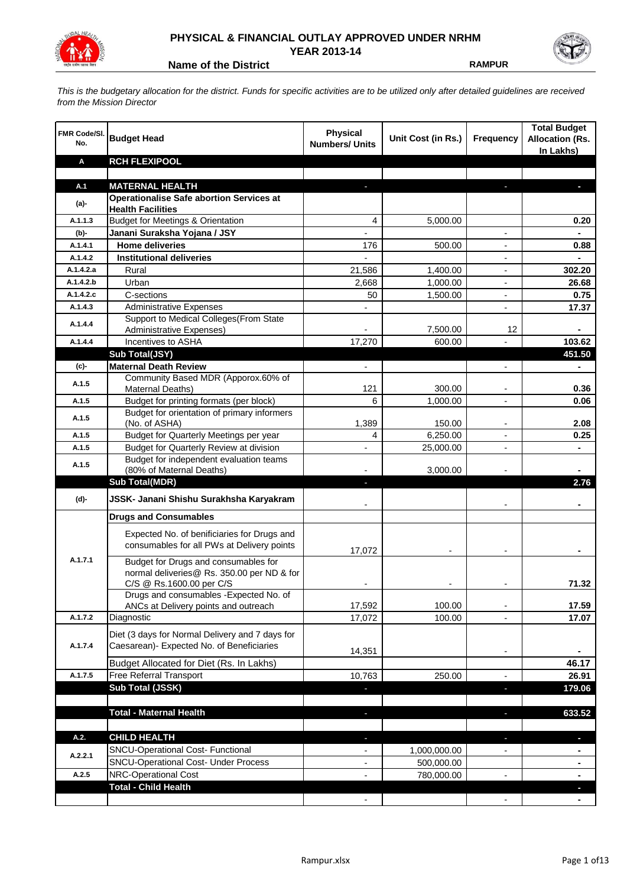

## **PHYSICAL & FINANCIAL OUTLAY APPROVED UNDER NRHM YEAR 2013-14**

**Name of the District RAMPUR** 

*This is the budgetary allocation for the district. Funds for specific activities are to be utilized only after detailed guidelines are received from the Mission Director*

| <b>FMR Code/SI.</b><br>No. | <b>Budget Head</b>                                                                           | <b>Physical</b><br><b>Numbers/ Units</b> | Unit Cost (in Rs.) | Frequency                | <b>Total Budget</b><br><b>Allocation (Rs.</b><br>In Lakhs) |
|----------------------------|----------------------------------------------------------------------------------------------|------------------------------------------|--------------------|--------------------------|------------------------------------------------------------|
| Α                          | <b>RCH FLEXIPOOL</b>                                                                         |                                          |                    |                          |                                                            |
|                            |                                                                                              |                                          |                    |                          |                                                            |
| A.1                        | <b>MATERNAL HEALTH</b>                                                                       |                                          |                    |                          |                                                            |
| $(a)$ -                    | <b>Operationalise Safe abortion Services at</b><br><b>Health Facilities</b>                  |                                          |                    |                          |                                                            |
| A.1.1.3                    | <b>Budget for Meetings &amp; Orientation</b>                                                 | 4                                        | 5,000.00           |                          | 0.20                                                       |
| (b)-                       | Janani Suraksha Yojana / JSY                                                                 |                                          |                    |                          |                                                            |
| A.1.4.1                    | <b>Home deliveries</b>                                                                       | 176                                      | 500.00             |                          | 0.88                                                       |
| A.1.4.2                    | <b>Institutional deliveries</b>                                                              |                                          |                    |                          |                                                            |
| A.1.4.2.a                  | Rural                                                                                        | 21,586                                   | 1,400.00           |                          | 302.20                                                     |
| A.1.4.2.b                  | Urban                                                                                        | 2,668                                    | 1,000.00           |                          | 26.68                                                      |
| A.1.4.2.c                  | C-sections                                                                                   | 50                                       | 1,500.00           |                          | 0.75                                                       |
| A.1.4.3                    | <b>Administrative Expenses</b>                                                               |                                          |                    | $\overline{a}$           | 17.37                                                      |
| A.1.4.4                    | Support to Medical Colleges (From State                                                      |                                          |                    |                          |                                                            |
|                            | Administrative Expenses)                                                                     |                                          | 7,500.00           | 12                       |                                                            |
| A.1.4.4                    | Incentives to ASHA                                                                           | 17,270                                   | 600.00             |                          | 103.62                                                     |
|                            | Sub Total(JSY)                                                                               |                                          |                    |                          | 451.50                                                     |
| $(c)$ -                    | <b>Maternal Death Review</b>                                                                 | $\overline{\phantom{a}}$                 |                    | $\overline{\phantom{a}}$ | $\blacksquare$                                             |
| A.1.5                      | Community Based MDR (Apporox.60% of<br>Maternal Deaths)                                      | 121                                      | 300.00             | $\overline{\phantom{a}}$ | 0.36                                                       |
| A.1.5                      | Budget for printing formats (per block)                                                      | 6                                        | 1,000.00           |                          | 0.06                                                       |
|                            | Budget for orientation of primary informers                                                  |                                          |                    |                          |                                                            |
| A.1.5                      | (No. of ASHA)                                                                                | 1,389                                    | 150.00             | -                        | 2.08                                                       |
| A.1.5                      | Budget for Quarterly Meetings per year                                                       | 4                                        | 6,250.00           |                          | 0.25                                                       |
| A.1.5                      | Budget for Quarterly Review at division                                                      |                                          | 25,000.00          |                          |                                                            |
| A.1.5                      | Budget for independent evaluation teams                                                      |                                          |                    |                          |                                                            |
|                            | (80% of Maternal Deaths)                                                                     |                                          | 3,000.00           |                          |                                                            |
|                            | <b>Sub Total(MDR)</b>                                                                        | н                                        |                    |                          | 2.76                                                       |
| (d)-                       | JSSK- Janani Shishu Surakhsha Karyakram                                                      |                                          |                    |                          |                                                            |
|                            | <b>Drugs and Consumables</b>                                                                 |                                          |                    |                          |                                                            |
|                            | Expected No. of benificiaries for Drugs and<br>consumables for all PWs at Delivery points    | 17,072                                   |                    |                          |                                                            |
| A.1.7.1                    | Budget for Drugs and consumables for<br>normal deliveries@ Rs. 350.00 per ND & for           |                                          |                    |                          | 71.32                                                      |
|                            | C/S @ Rs.1600.00 per C/S<br>Drugs and consumables - Expected No. of                          |                                          |                    |                          |                                                            |
|                            | ANCs at Delivery points and outreach                                                         | 17,592                                   | 100.00             |                          | 17.59                                                      |
| A.1.7.2                    | Diagnostic                                                                                   | 17,072                                   | 100.00             |                          | 17.07                                                      |
| A.1.7.4                    | Diet (3 days for Normal Delivery and 7 days for<br>Caesarean)- Expected No. of Beneficiaries | 14,351                                   |                    | $\blacksquare$           |                                                            |
|                            | Budget Allocated for Diet (Rs. In Lakhs)                                                     |                                          |                    |                          | 46.17                                                      |
| A.1.7.5                    | Free Referral Transport                                                                      | 10,763                                   | 250.00             | ٠                        | 26.91                                                      |
|                            | Sub Total (JSSK)                                                                             |                                          |                    | ×                        | 179.06                                                     |
|                            |                                                                                              |                                          |                    |                          |                                                            |
|                            | <b>Total - Maternal Health</b>                                                               | $\blacksquare$                           |                    | P.                       | 633.52                                                     |
| A.2.                       | <b>CHILD HEALTH</b>                                                                          |                                          |                    |                          | L.                                                         |
| A.2.2.1                    | SNCU-Operational Cost- Functional                                                            |                                          | 1,000,000.00       |                          |                                                            |
|                            | <b>SNCU-Operational Cost- Under Process</b>                                                  |                                          | 500,000.00         |                          |                                                            |
| A.2.5                      | <b>NRC-Operational Cost</b>                                                                  |                                          | 780,000.00         |                          |                                                            |
|                            | <b>Total - Child Health</b>                                                                  |                                          |                    |                          |                                                            |
|                            |                                                                                              |                                          |                    |                          |                                                            |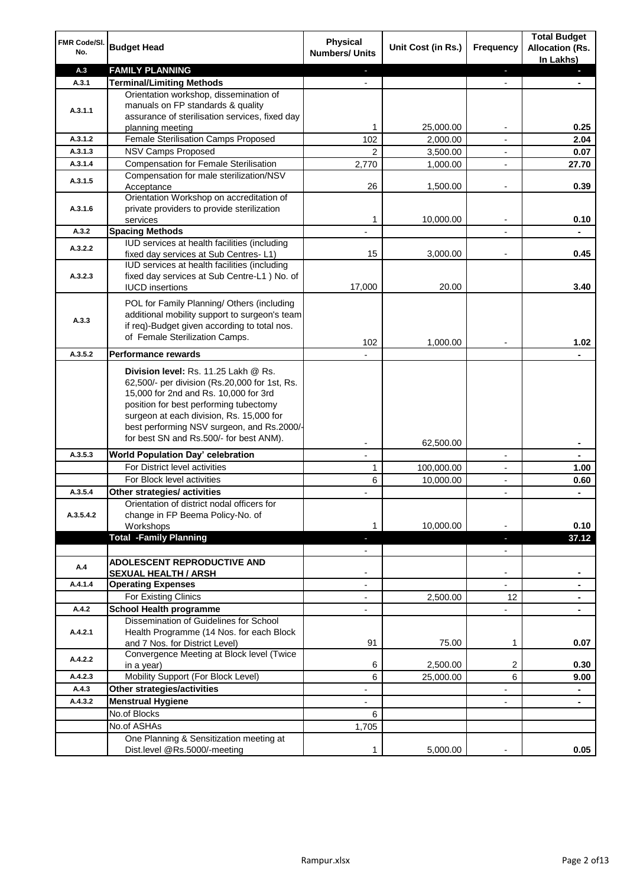| FMR Code/SI.<br>No.  | <b>Budget Head</b>                                                                                                                                                                                                                                                                                            | Physical<br><b>Numbers/ Units</b>                    | Unit Cost (in Rs.) | Frequency                     | <b>Total Budget</b><br><b>Allocation (Rs.</b><br>In Lakhs) |
|----------------------|---------------------------------------------------------------------------------------------------------------------------------------------------------------------------------------------------------------------------------------------------------------------------------------------------------------|------------------------------------------------------|--------------------|-------------------------------|------------------------------------------------------------|
| A.3                  | <b>FAMILY PLANNING</b>                                                                                                                                                                                                                                                                                        | $\sim$                                               |                    | $\blacksquare$                | $\sim$                                                     |
| A.3.1                | <b>Terminal/Limiting Methods</b>                                                                                                                                                                                                                                                                              |                                                      |                    |                               |                                                            |
| A.3.1.1              | Orientation workshop, dissemination of<br>manuals on FP standards & quality<br>assurance of sterilisation services, fixed day<br>planning meeting                                                                                                                                                             | 1                                                    | 25,000.00          | $\overline{\phantom{a}}$      | 0.25                                                       |
| A.3.1.2              | Female Sterilisation Camps Proposed                                                                                                                                                                                                                                                                           | 102                                                  | 2,000.00           |                               | 2.04                                                       |
| A.3.1.3              | <b>NSV Camps Proposed</b>                                                                                                                                                                                                                                                                                     | $\overline{2}$                                       | 3,500.00           |                               | 0.07                                                       |
| A.3.1.4              | <b>Compensation for Female Sterilisation</b>                                                                                                                                                                                                                                                                  | 2,770                                                | 1,000.00           | $\overline{\phantom{a}}$      | 27.70                                                      |
| A.3.1.5              | Compensation for male sterilization/NSV                                                                                                                                                                                                                                                                       |                                                      |                    |                               |                                                            |
|                      | Acceptance<br>Orientation Workshop on accreditation of                                                                                                                                                                                                                                                        | 26                                                   | 1,500.00           |                               | 0.39                                                       |
| A.3.1.6              | private providers to provide sterilization                                                                                                                                                                                                                                                                    |                                                      |                    |                               |                                                            |
|                      | services                                                                                                                                                                                                                                                                                                      | 1                                                    | 10,000.00          | $\blacksquare$                | 0.10                                                       |
| A.3.2                | <b>Spacing Methods</b><br>IUD services at health facilities (including                                                                                                                                                                                                                                        |                                                      |                    |                               | ۰                                                          |
| A.3.2.2              | fixed day services at Sub Centres-L1)                                                                                                                                                                                                                                                                         | 15                                                   | 3,000.00           | $\overline{\phantom{a}}$      | 0.45                                                       |
| A.3.2.3              | IUD services at health facilities (including<br>fixed day services at Sub Centre-L1 ) No. of<br><b>IUCD</b> insertions                                                                                                                                                                                        | 17,000                                               | 20.00              |                               | 3.40                                                       |
| A.3.3                | POL for Family Planning/ Others (including<br>additional mobility support to surgeon's team<br>if req)-Budget given according to total nos.<br>of Female Sterilization Camps.                                                                                                                                 | 102                                                  | 1,000.00           |                               | 1.02                                                       |
| A.3.5.2              | <b>Performance rewards</b>                                                                                                                                                                                                                                                                                    |                                                      |                    |                               |                                                            |
|                      | Division level: Rs. 11.25 Lakh @ Rs.<br>62,500/- per division (Rs.20,000 for 1st, Rs.<br>15,000 for 2nd and Rs. 10,000 for 3rd<br>position for best performing tubectomy<br>surgeon at each division, Rs. 15,000 for<br>best performing NSV surgeon, and Rs.2000/-<br>for best SN and Rs.500/- for best ANM). |                                                      |                    |                               |                                                            |
|                      |                                                                                                                                                                                                                                                                                                               |                                                      | 62,500.00          |                               | ۰                                                          |
| A.3.5.3              | World Population Day' celebration                                                                                                                                                                                                                                                                             |                                                      |                    |                               |                                                            |
|                      | For District level activities                                                                                                                                                                                                                                                                                 | 1                                                    | 100,000.00         |                               | 1.00                                                       |
|                      | For Block level activities                                                                                                                                                                                                                                                                                    | 6                                                    | 10,000.00          | $\blacksquare$                | 0.60                                                       |
| A.3.5.4<br>A.3.5.4.2 | Other strategies/ activities<br>Orientation of district nodal officers for<br>change in FP Beema Policy-No. of<br>Workshops                                                                                                                                                                                   | 1                                                    | 10,000.00          |                               | 0.10                                                       |
|                      | <b>Total -Family Planning</b>                                                                                                                                                                                                                                                                                 | $\overline{\phantom{a}}$<br>$\overline{\phantom{a}}$ |                    | ٠<br>$\overline{\phantom{a}}$ | 37.12                                                      |
| A.4                  | ADOLESCENT REPRODUCTIVE AND<br><b>SEXUAL HEALTH / ARSH</b>                                                                                                                                                                                                                                                    |                                                      |                    | $\blacksquare$                |                                                            |
| A.4.1.4              | <b>Operating Expenses</b>                                                                                                                                                                                                                                                                                     |                                                      |                    |                               |                                                            |
|                      | For Existing Clinics                                                                                                                                                                                                                                                                                          | $\blacksquare$                                       | 2,500.00           | 12                            | ۰                                                          |
| A.4.2                | <b>School Health programme</b>                                                                                                                                                                                                                                                                                | $\blacksquare$                                       |                    | $\overline{a}$                |                                                            |
| A.4.2.1              | Dissemination of Guidelines for School<br>Health Programme (14 Nos. for each Block<br>and 7 Nos. for District Level)                                                                                                                                                                                          | 91                                                   | 75.00              | 1                             | 0.07                                                       |
| A.4.2.2              | Convergence Meeting at Block level (Twice<br>in a year)                                                                                                                                                                                                                                                       | 6                                                    | 2,500.00           | 2                             | 0.30                                                       |
| A.4.2.3              | Mobility Support (For Block Level)                                                                                                                                                                                                                                                                            | 6                                                    | 25,000.00          | 6                             | 9.00                                                       |
| A.4.3                | Other strategies/activities                                                                                                                                                                                                                                                                                   | ٠                                                    |                    | -                             | ۰                                                          |
| A.4.3.2              | <b>Menstrual Hygiene</b>                                                                                                                                                                                                                                                                                      | $\overline{\phantom{0}}$                             |                    | ٠                             | ۰                                                          |
|                      | No.of Blocks                                                                                                                                                                                                                                                                                                  | 6                                                    |                    |                               |                                                            |
|                      | No.of ASHAs                                                                                                                                                                                                                                                                                                   | 1,705                                                |                    |                               |                                                            |
|                      | One Planning & Sensitization meeting at                                                                                                                                                                                                                                                                       |                                                      |                    |                               |                                                            |
|                      | Dist.level @Rs.5000/-meeting                                                                                                                                                                                                                                                                                  | 1                                                    | 5,000.00           |                               | 0.05                                                       |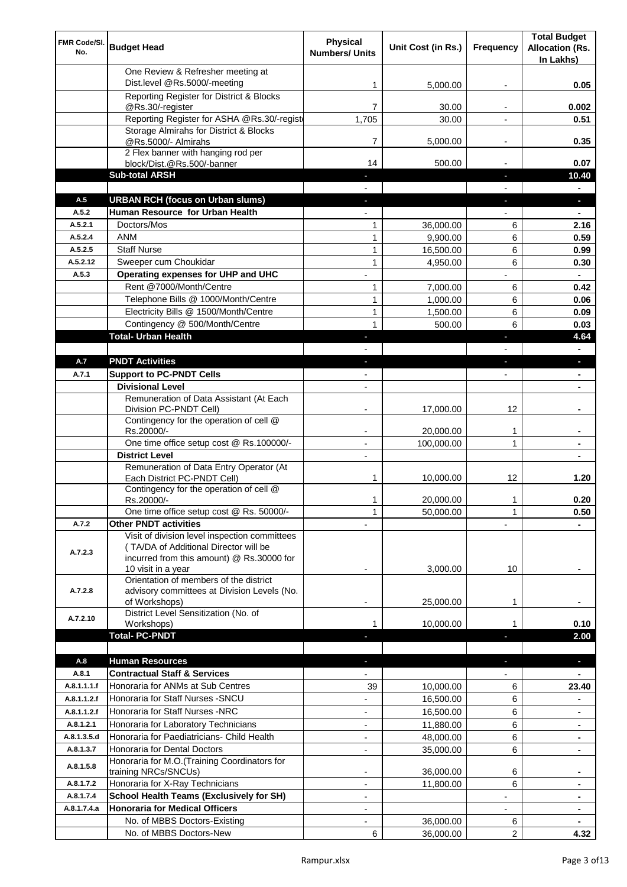| FMR Code/SI.<br>No. | <b>Budget Head</b>                                                                                                                                        | Physical<br><b>Numbers/ Units</b> | Unit Cost (in Rs.)    | Frequency                | <b>Total Budget</b><br><b>Allocation (Rs.</b><br>In Lakhs) |
|---------------------|-----------------------------------------------------------------------------------------------------------------------------------------------------------|-----------------------------------|-----------------------|--------------------------|------------------------------------------------------------|
|                     | One Review & Refresher meeting at<br>Dist.level @Rs.5000/-meeting                                                                                         | 1                                 | 5,000.00              |                          | 0.05                                                       |
|                     | Reporting Register for District & Blocks                                                                                                                  |                                   |                       |                          |                                                            |
|                     | @Rs.30/-register                                                                                                                                          | 7                                 | 30.00                 |                          | 0.002                                                      |
|                     | Reporting Register for ASHA @Rs.30/-regist                                                                                                                | 1,705                             | 30.00                 |                          | 0.51                                                       |
|                     | Storage Almirahs for District & Blocks<br>@Rs.5000/- Almirahs                                                                                             | 7                                 | 5,000.00              | $\overline{\phantom{a}}$ | 0.35                                                       |
|                     | 2 Flex banner with hanging rod per                                                                                                                        |                                   |                       |                          |                                                            |
|                     | block/Dist.@Rs.500/-banner                                                                                                                                | 14                                | 500.00                |                          | 0.07                                                       |
|                     | <b>Sub-total ARSH</b>                                                                                                                                     |                                   |                       | $\sim$                   | 10.40                                                      |
| A.5                 | <b>URBAN RCH (focus on Urban slums)</b>                                                                                                                   |                                   |                       |                          | н.                                                         |
| A.5.2               | Human Resource for Urban Health                                                                                                                           |                                   |                       |                          |                                                            |
| A.5.2.1             | Doctors/Mos                                                                                                                                               | 1                                 | 36,000.00             | 6                        | 2.16                                                       |
| A.5.2.4             | <b>ANM</b>                                                                                                                                                | $\mathbf{1}$                      | 9,900.00              | 6                        | 0.59                                                       |
| A.5.2.5<br>A.5.2.12 | <b>Staff Nurse</b><br>Sweeper cum Choukidar                                                                                                               | $\mathbf{1}$<br>$\mathbf{1}$      | 16,500.00<br>4,950.00 | 6<br>6                   | 0.99                                                       |
| A.5.3               | Operating expenses for UHP and UHC                                                                                                                        |                                   |                       |                          | 0.30<br>$\blacksquare$                                     |
|                     | Rent @7000/Month/Centre                                                                                                                                   | 1                                 | 7,000.00              | 6                        | 0.42                                                       |
|                     | Telephone Bills @ 1000/Month/Centre                                                                                                                       | $\mathbf{1}$                      | 1,000.00              | 6                        | 0.06                                                       |
|                     | Electricity Bills @ 1500/Month/Centre                                                                                                                     | $\mathbf{1}$                      | 1,500.00              | 6                        | 0.09                                                       |
|                     | Contingency @ 500/Month/Centre                                                                                                                            | 1                                 | 500.00                | 6                        | 0.03                                                       |
|                     | <b>Total- Urban Health</b>                                                                                                                                | $\blacksquare$                    |                       | ×                        | 4.64                                                       |
|                     |                                                                                                                                                           |                                   |                       |                          | $\blacksquare$                                             |
| A.7                 | <b>PNDT Activities</b>                                                                                                                                    | ٠                                 |                       | ×                        | ٠                                                          |
| A.7.1               | <b>Support to PC-PNDT Cells</b>                                                                                                                           | $\blacksquare$                    |                       | $\blacksquare$           | ٠                                                          |
|                     | <b>Divisional Level</b>                                                                                                                                   | $\blacksquare$                    |                       |                          |                                                            |
|                     | Remuneration of Data Assistant (At Each<br>Division PC-PNDT Cell)                                                                                         |                                   | 17,000.00             | 12                       |                                                            |
|                     | Contingency for the operation of cell @                                                                                                                   |                                   |                       |                          |                                                            |
|                     | Rs.20000/-                                                                                                                                                |                                   | 20,000.00             | 1                        |                                                            |
|                     | One time office setup cost @ Rs.100000/-                                                                                                                  |                                   | 100,000.00            | 1                        |                                                            |
|                     | <b>District Level</b>                                                                                                                                     | $\overline{\phantom{a}}$          |                       |                          |                                                            |
|                     | Remuneration of Data Entry Operator (At<br>Each District PC-PNDT Cell)                                                                                    | 1                                 | 10,000.00             | 12                       | 1.20                                                       |
|                     | Contingency for the operation of cell @                                                                                                                   |                                   |                       |                          |                                                            |
|                     | Rs.20000/-                                                                                                                                                | 1                                 | 20,000.00             | 1                        | 0.20                                                       |
|                     | One time office setup cost @ Rs. 50000/-                                                                                                                  | $\mathbf{1}$                      | 50,000.00             | 1                        | 0.50                                                       |
| A.7.2               | <b>Other PNDT activities</b>                                                                                                                              |                                   |                       |                          |                                                            |
| A.7.2.3             | Visit of division level inspection committees<br>(TA/DA of Additional Director will be<br>incurred from this amount) @ Rs.30000 for<br>10 visit in a year |                                   | 3,000.00              | 10                       |                                                            |
| A.7.2.8             | Orientation of members of the district<br>advisory committees at Division Levels (No.                                                                     |                                   |                       |                          |                                                            |
|                     | of Workshops)                                                                                                                                             | ۰                                 | 25,000.00             | 1                        |                                                            |
| A.7.2.10            | District Level Sensitization (No. of                                                                                                                      |                                   |                       |                          | 0.10                                                       |
|                     | Workshops)<br><b>Total- PC-PNDT</b>                                                                                                                       |                                   | 10,000.00             |                          | 2.00                                                       |
|                     |                                                                                                                                                           |                                   |                       |                          |                                                            |
| A.8                 | <b>Human Resources</b>                                                                                                                                    |                                   |                       |                          | ÷.                                                         |
| A.8.1               | <b>Contractual Staff &amp; Services</b>                                                                                                                   |                                   |                       |                          |                                                            |
| A.8.1.1.1.f         | Honoraria for ANMs at Sub Centres                                                                                                                         | 39                                | 10,000.00             | 6                        | 23.40                                                      |
| A.8.1.1.2.f         | Honoraria for Staff Nurses - SNCU                                                                                                                         |                                   | 16,500.00             | 6                        |                                                            |
| A.8.1.1.2.f         | Honoraria for Staff Nurses -NRC                                                                                                                           |                                   | 16,500.00             | 6                        |                                                            |
| A.8.1.2.1           | Honoraria for Laboratory Technicians                                                                                                                      |                                   | 11,880.00             | 6                        |                                                            |
| A.8.1.3.5.d         | Honoraria for Paediatricians- Child Health                                                                                                                |                                   | 48,000.00             | 6                        |                                                            |
| A.8.1.3.7           | Honoraria for Dental Doctors                                                                                                                              | $\overline{\phantom{a}}$          | 35,000.00             | 6                        |                                                            |
| A.8.1.5.8           | Honoraria for M.O.(Training Coordinators for<br>training NRCs/SNCUs)                                                                                      |                                   | 36,000.00             | 6                        |                                                            |
| A.8.1.7.2           | Honoraria for X-Ray Technicians                                                                                                                           |                                   | 11,800.00             | 6                        |                                                            |
| A.8.1.7.4           | <b>School Health Teams (Exclusively for SH)</b>                                                                                                           |                                   |                       |                          |                                                            |
| A.8.1.7.4.a         | <b>Honoraria for Medical Officers</b>                                                                                                                     | $\blacksquare$                    |                       |                          | ۰                                                          |
|                     | No. of MBBS Doctors-Existing                                                                                                                              |                                   | 36,000.00             | 6                        |                                                            |
|                     | No. of MBBS Doctors-New                                                                                                                                   | 6                                 | 36,000.00             | 2                        | 4.32                                                       |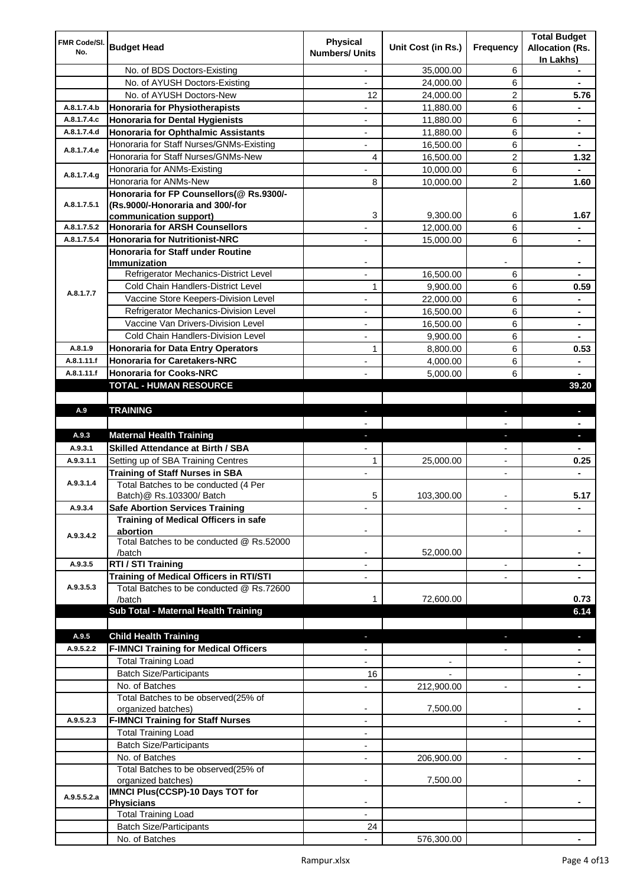| FMR Code/SI. |                                                  | <b>Physical</b>          |                    |                          | <b>Total Budget</b>    |
|--------------|--------------------------------------------------|--------------------------|--------------------|--------------------------|------------------------|
| No.          | <b>Budget Head</b>                               | <b>Numbers/ Units</b>    | Unit Cost (in Rs.) | Frequency                | <b>Allocation (Rs.</b> |
|              |                                                  |                          |                    |                          | In Lakhs)              |
|              | No. of BDS Doctors-Existing                      | $\overline{\phantom{a}}$ | 35,000.00          | 6                        | $\blacksquare$         |
|              | No. of AYUSH Doctors-Existing                    | $\overline{\phantom{a}}$ | 24,000.00          | 6                        | $\blacksquare$         |
|              | No. of AYUSH Doctors-New                         | 12                       | 24,000.00          | 2                        | 5.76                   |
| A.8.1.7.4.b  | <b>Honoraria for Physiotherapists</b>            | $\overline{\phantom{a}}$ | 11,880.00          | 6                        | $\blacksquare$         |
| A.8.1.7.4.c  | <b>Honoraria for Dental Hygienists</b>           | $\overline{\phantom{a}}$ | 11,880.00          | 6                        | ۰                      |
| A.8.1.7.4.d  | <b>Honoraria for Ophthalmic Assistants</b>       | $\overline{\phantom{a}}$ | 11,880.00          | 6                        |                        |
| A.8.1.7.4.e  | Honoraria for Staff Nurses/GNMs-Existing         | $\blacksquare$           | 16,500.00          | 6                        |                        |
|              | Honoraria for Staff Nurses/GNMs-New              | 4                        | 16,500.00          | $\overline{c}$           | 1.32                   |
|              | Honoraria for ANMs-Existing                      |                          | 10,000.00          | 6                        |                        |
| A.8.1.7.4.g  | Honoraria for ANMs-New                           | 8                        | 10,000.00          | 2                        | 1.60                   |
|              | Honoraria for FP Counsellors(@ Rs.9300/-         |                          |                    |                          |                        |
| A.8.1.7.5.1  | (Rs.9000/-Honoraria and 300/-for                 |                          |                    |                          |                        |
|              | communication support)                           | 3                        | 9,300.00           | 6                        | 1.67                   |
| A.8.1.7.5.2  | <b>Honoraria for ARSH Counsellors</b>            |                          | 12,000.00          | 6                        | ۰                      |
| A.8.1.7.5.4  | <b>Honoraria for Nutritionist-NRC</b>            |                          | 15,000.00          | 6                        | ۰                      |
|              | Honoraria for Staff under Routine                |                          |                    |                          |                        |
|              | Immunization                                     |                          |                    |                          |                        |
|              | Refrigerator Mechanics-District Level            |                          | 16,500.00          | 6                        |                        |
| A.8.1.7.7    | Cold Chain Handlers-District Level               | 1                        | 9,900.00           | 6                        | 0.59                   |
|              | Vaccine Store Keepers-Division Level             |                          | 22,000.00          | 6                        | ۰                      |
|              | Refrigerator Mechanics-Division Level            | $\overline{\phantom{a}}$ | 16,500.00          | 6                        | ۰                      |
|              | Vaccine Van Drivers-Division Level               | $\overline{\phantom{a}}$ | 16,500.00          | 6                        | $\blacksquare$         |
|              | Cold Chain Handlers-Division Level               | $\blacksquare$           | 9,900.00           | 6                        | $\blacksquare$         |
| A.8.1.9      | <b>Honoraria for Data Entry Operators</b>        | $\mathbf{1}$             | 8,800.00           | 6                        | 0.53                   |
| A.8.1.11.f   | <b>Honoraria for Caretakers-NRC</b>              | $\overline{a}$           | 4,000.00           | 6                        | ۰                      |
| A.8.1.11.f   | <b>Honoraria for Cooks-NRC</b>                   |                          | 5,000.00           | 6                        |                        |
|              | TOTAL - HUMAN RESOURCE                           |                          |                    |                          | 39.20                  |
|              |                                                  |                          |                    |                          |                        |
| A.9          | <b>TRAINING</b>                                  | ٠                        |                    | ٠                        | ٠                      |
|              |                                                  |                          |                    |                          |                        |
| A.9.3        | <b>Maternal Health Training</b>                  | ٠                        |                    | ×,                       | ٠                      |
| A.9.3.1      | <b>Skilled Attendance at Birth / SBA</b>         |                          |                    |                          | $\blacksquare$         |
| A.9.3.1.1    | Setting up of SBA Training Centres               | 1                        | 25,000.00          | $\blacksquare$           | 0.25                   |
|              | <b>Training of Staff Nurses in SBA</b>           | $\overline{\phantom{a}}$ |                    | $\blacksquare$           |                        |
| A.9.3.1.4    | Total Batches to be conducted (4 Per             |                          |                    |                          |                        |
|              | Batch) @ Rs.103300/ Batch                        | 5                        | 103,300.00         |                          | 5.17                   |
| A.9.3.4      | <b>Safe Abortion Services Training</b>           |                          |                    |                          | ۰                      |
|              | Training of Medical Officers in safe             |                          |                    |                          |                        |
| A.9.3.4.2    | abortion                                         |                          |                    |                          |                        |
|              | Total Batches to be conducted @ Rs.52000         |                          |                    |                          |                        |
|              | /batch                                           |                          | 52,000.00          |                          |                        |
| A.9.3.5      | RTI / STI Training                               |                          |                    | $\blacksquare$           |                        |
|              | <b>Training of Medical Officers in RTI/STI</b>   |                          |                    |                          |                        |
| A.9.3.5.3    | Total Batches to be conducted @ Rs.72600         |                          |                    |                          |                        |
|              | /batch                                           | 1                        | 72,600.00          |                          | 0.73                   |
|              | Sub Total - Maternal Health Training             |                          |                    |                          | 6.14                   |
|              |                                                  |                          |                    |                          |                        |
| A.9.5        | <b>Child Health Training</b>                     |                          |                    |                          |                        |
| A.9.5.2.2    | <b>F-IMNCI Training for Medical Officers</b>     |                          |                    |                          |                        |
|              | <b>Total Training Load</b>                       |                          |                    |                          |                        |
|              | <b>Batch Size/Participants</b>                   | 16                       |                    |                          |                        |
|              | No. of Batches                                   |                          | 212,900.00         | $\blacksquare$           |                        |
|              | Total Batches to be observed(25% of              |                          |                    |                          |                        |
|              | organized batches)                               | $\blacksquare$           | 7,500.00           |                          | ٠                      |
| A.9.5.2.3    | <b>F-IMNCI Training for Staff Nurses</b>         | $\overline{\phantom{a}}$ |                    | $\overline{\phantom{a}}$ | ٠                      |
|              | <b>Total Training Load</b>                       | $\overline{\phantom{a}}$ |                    |                          |                        |
|              | <b>Batch Size/Participants</b>                   | -                        |                    |                          |                        |
|              | No. of Batches                                   | $\overline{\phantom{a}}$ | 206,900.00         |                          |                        |
|              | Total Batches to be observed(25% of              |                          |                    |                          |                        |
|              | organized batches)                               |                          | 7,500.00           |                          |                        |
| A.9.5.5.2.a  | <b>IMNCI Plus(CCSP)-10 Days TOT for</b>          |                          |                    |                          |                        |
|              | <b>Physicians</b>                                |                          |                    | $\blacksquare$           |                        |
|              | <b>Total Training Load</b>                       |                          |                    |                          |                        |
|              |                                                  |                          |                    |                          |                        |
|              | <b>Batch Size/Participants</b><br>No. of Batches | 24                       | 576,300.00         |                          |                        |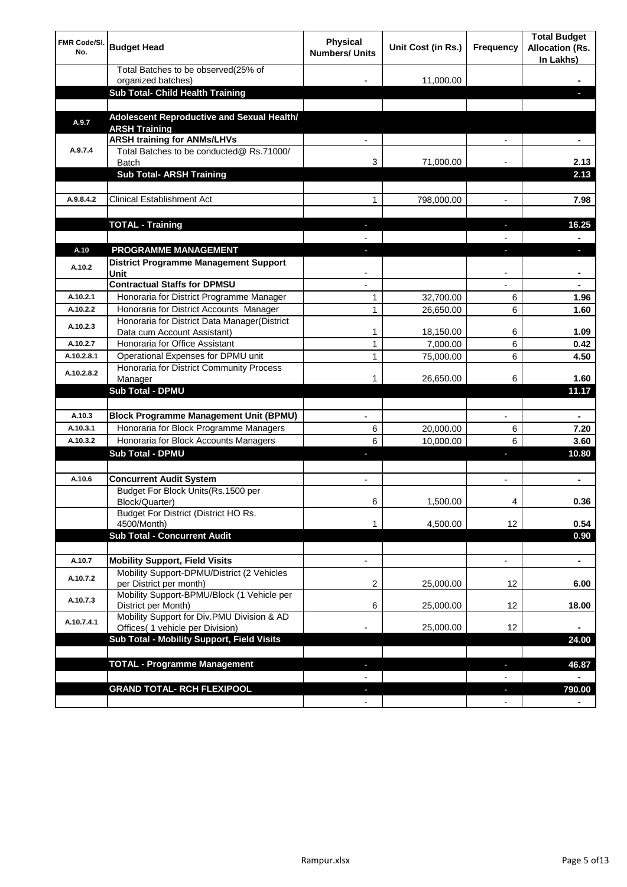| <b>FMR Code/SI.</b><br>No. | <b>Budget Head</b>                                                             | Physical<br><b>Numbers/ Units</b> | Unit Cost (in Rs.) | Frequency                | <b>Total Budget</b><br><b>Allocation (Rs.</b><br>In Lakhs) |
|----------------------------|--------------------------------------------------------------------------------|-----------------------------------|--------------------|--------------------------|------------------------------------------------------------|
|                            | Total Batches to be observed(25% of                                            |                                   |                    |                          |                                                            |
|                            | organized batches)<br>Sub Total- Child Health Training                         |                                   | 11,000.00          |                          |                                                            |
|                            |                                                                                |                                   |                    |                          |                                                            |
| A.9.7                      | Adolescent Reproductive and Sexual Health/<br><b>ARSH Training</b>             |                                   |                    |                          |                                                            |
|                            | <b>ARSH training for ANMs/LHVs</b>                                             |                                   |                    |                          |                                                            |
| A.9.7.4                    | Total Batches to be conducted@ Rs.71000/<br><b>Batch</b>                       | 3                                 | 71,000.00          |                          | 2.13                                                       |
|                            | <b>Sub Total- ARSH Training</b>                                                |                                   |                    |                          | 2.13                                                       |
|                            |                                                                                |                                   |                    |                          |                                                            |
| A.9.8.4.2                  | <b>Clinical Establishment Act</b>                                              | 1                                 | 798,000.00         |                          | 7.98                                                       |
|                            |                                                                                |                                   |                    |                          |                                                            |
|                            | <b>TOTAL - Training</b>                                                        |                                   |                    |                          | 16.25                                                      |
|                            |                                                                                |                                   |                    |                          |                                                            |
| A.10                       | <b>PROGRAMME MANAGEMENT</b>                                                    |                                   |                    |                          |                                                            |
| A.10.2                     | District Programme Management Support                                          |                                   |                    |                          |                                                            |
|                            | Unit<br><b>Contractual Staffs for DPMSU</b>                                    |                                   |                    |                          |                                                            |
| A.10.2.1                   | Honoraria for District Programme Manager                                       | 1                                 | 32,700.00          | 6                        | 1.96                                                       |
| A.10.2.2                   | Honoraria for District Accounts Manager                                        | 1                                 | 26,650.00          | 6                        | 1.60                                                       |
|                            | Honoraria for District Data Manager(District                                   |                                   |                    |                          |                                                            |
| A.10.2.3                   | Data cum Account Assistant)                                                    | 1                                 | 18,150.00          | 6                        | 1.09                                                       |
| A.10.2.7                   | Honoraria for Office Assistant                                                 | 1                                 | 7,000.00           | 6                        | 0.42                                                       |
| A.10.2.8.1                 | Operational Expenses for DPMU unit                                             | 1                                 | 75,000.00          | 6                        | 4.50                                                       |
| A.10.2.8.2                 | Honoraria for District Community Process<br>Manager                            | 1                                 | 26,650.00          | 6                        | 1.60                                                       |
|                            | <b>Sub Total - DPMU</b>                                                        |                                   |                    |                          | 11.17                                                      |
|                            |                                                                                |                                   |                    |                          |                                                            |
| A.10.3                     | <b>Block Programme Management Unit (BPMU)</b>                                  | $\blacksquare$                    |                    | $\overline{\phantom{a}}$ | $\blacksquare$                                             |
| A.10.3.1                   | Honoraria for Block Programme Managers                                         | 6                                 | 20,000.00          | 6                        | 7.20                                                       |
| A.10.3.2                   | Honoraria for Block Accounts Managers                                          | 6                                 | 10,000.00          | 6                        | 3.60                                                       |
|                            | <b>Sub Total - DPMU</b>                                                        | J,                                |                    | J,                       | 10.80                                                      |
|                            |                                                                                |                                   |                    |                          |                                                            |
| A.10.6                     | <b>Concurrent Audit System</b>                                                 | $\blacksquare$                    |                    | $\blacksquare$           | ۰                                                          |
|                            | Budget For Block Units(Rs.1500 per<br>Block/Quarter)                           | o                                 | 1,500.00           | 4                        | 0.36                                                       |
|                            | Budget For District (District HO Rs.                                           |                                   |                    |                          |                                                            |
|                            | 4500/Month)                                                                    | 1                                 | 4,500.00           | 12                       | 0.54                                                       |
|                            | <b>Sub Total - Concurrent Audit</b>                                            |                                   |                    |                          | 0.90                                                       |
| A.10.7                     | <b>Mobility Support, Field Visits</b>                                          | $\overline{\phantom{a}}$          |                    | $\overline{\phantom{a}}$ | ۰                                                          |
| A.10.7.2                   | Mobility Support-DPMU/District (2 Vehicles                                     |                                   |                    |                          |                                                            |
|                            | per District per month)<br>Mobility Support-BPMU/Block (1 Vehicle per          | 2                                 | 25,000.00          | 12                       | 6.00                                                       |
| A.10.7.3                   | District per Month)                                                            | 6                                 | 25,000.00          | 12                       | 18.00                                                      |
| A.10.7.4.1                 | Mobility Support for Div.PMU Division & AD<br>Offices( 1 vehicle per Division) |                                   | 25,000.00          | 12                       |                                                            |
|                            | Sub Total - Mobility Support, Field Visits                                     |                                   |                    |                          | 24.00                                                      |
|                            |                                                                                |                                   |                    |                          |                                                            |
|                            | <b>TOTAL - Programme Management</b>                                            |                                   |                    | r.                       | 46.87                                                      |
|                            |                                                                                |                                   |                    |                          |                                                            |
|                            | <b>GRAND TOTAL- RCH FLEXIPOOL</b>                                              |                                   |                    | J,                       | 790.00                                                     |
|                            |                                                                                |                                   |                    | $\blacksquare$           |                                                            |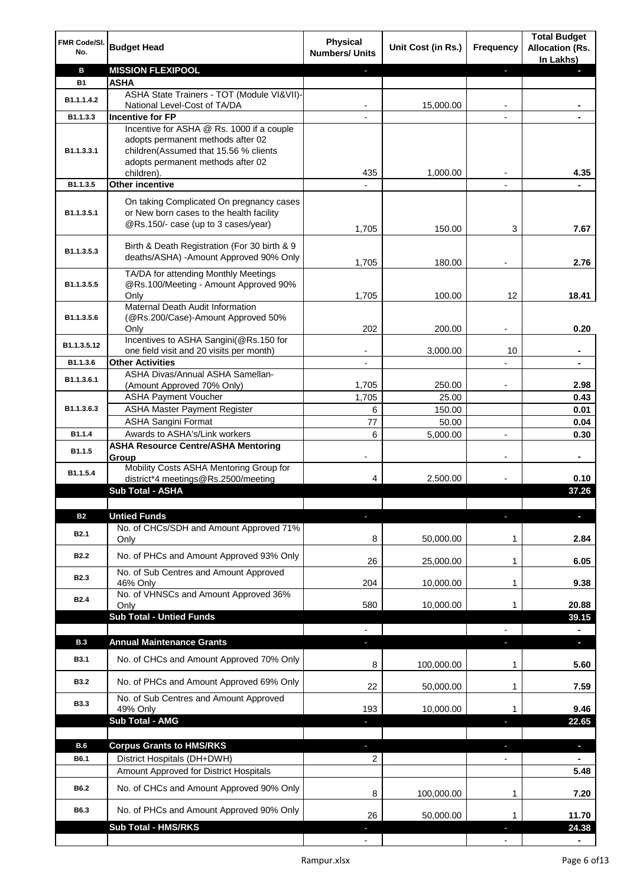| FMR Code/SI.<br>No. | <b>Budget Head</b>                                                                                                          | <b>Physical</b><br><b>Numbers/ Units</b> | Unit Cost (in Rs.) | Frequency                | <b>Total Budget</b><br><b>Allocation (Rs.</b><br>In Lakhs) |
|---------------------|-----------------------------------------------------------------------------------------------------------------------------|------------------------------------------|--------------------|--------------------------|------------------------------------------------------------|
| в                   | <b>MISSION FLEXIPOOL</b>                                                                                                    | н                                        |                    | ٠                        |                                                            |
| <b>B1</b>           | <b>ASHA</b>                                                                                                                 |                                          |                    |                          |                                                            |
| B1.1.1.4.2          | ASHA State Trainers - TOT (Module VI&VII)-                                                                                  |                                          |                    |                          |                                                            |
| B1.1.3.3            | National Level-Cost of TA/DA<br><b>Incentive for FP</b>                                                                     |                                          | 15,000.00          |                          |                                                            |
|                     | Incentive for ASHA @ Rs. 1000 if a couple                                                                                   |                                          |                    |                          |                                                            |
| B1.1.3.3.1          | adopts permanent methods after 02<br>children(Assumed that 15.56 % clients                                                  |                                          |                    |                          |                                                            |
|                     | adopts permanent methods after 02                                                                                           |                                          |                    |                          |                                                            |
|                     | children).                                                                                                                  | 435                                      | 1,000.00           |                          | 4.35                                                       |
| B1.1.3.5            | <b>Other incentive</b>                                                                                                      |                                          |                    |                          |                                                            |
| B1.1.3.5.1          | On taking Complicated On pregnancy cases<br>or New born cases to the health facility<br>@Rs.150/- case (up to 3 cases/year) |                                          |                    |                          |                                                            |
|                     |                                                                                                                             | 1,705                                    | 150.00             | 3                        | 7.67                                                       |
| B1.1.3.5.3          | Birth & Death Registration (For 30 birth & 9<br>deaths/ASHA) - Amount Approved 90% Only                                     | 1,705                                    | 180.00             |                          | 2.76                                                       |
|                     | TA/DA for attending Monthly Meetings                                                                                        |                                          |                    |                          |                                                            |
| B1.1.3.5.5          | @Rs.100/Meeting - Amount Approved 90%                                                                                       |                                          |                    |                          |                                                            |
|                     | Only<br>Maternal Death Audit Information                                                                                    | 1,705                                    | 100.00             | 12                       | 18.41                                                      |
| B1.1.3.5.6          | (@Rs.200/Case)-Amount Approved 50%                                                                                          |                                          |                    |                          |                                                            |
|                     | Only                                                                                                                        | 202                                      | 200.00             |                          | 0.20                                                       |
|                     | Incentives to ASHA Sangini(@Rs.150 for                                                                                      |                                          |                    |                          |                                                            |
| B1.1.3.5.12         | one field visit and 20 visits per month)                                                                                    |                                          | 3,000.00           | 10                       |                                                            |
| B1.1.3.6            | <b>Other Activities</b>                                                                                                     |                                          |                    |                          |                                                            |
| B1.1.3.6.1          | ASHA Divas/Annual ASHA Samellan-                                                                                            |                                          |                    |                          |                                                            |
|                     | (Amount Approved 70% Only)<br><b>ASHA Payment Voucher</b>                                                                   | 1,705                                    | 250.00             |                          | 2.98                                                       |
| B1.1.3.6.3          | <b>ASHA Master Payment Register</b>                                                                                         | 1,705<br>6                               | 25.00              |                          | 0.43                                                       |
|                     | <b>ASHA Sangini Format</b>                                                                                                  | 77                                       | 150.00<br>50.00    |                          | 0.01<br>0.04                                               |
| B1.1.4              | Awards to ASHA's/Link workers                                                                                               | 6                                        | 5,000.00           | $\overline{a}$           | 0.30                                                       |
|                     | <b>ASHA Resource Centre/ASHA Mentoring</b>                                                                                  |                                          |                    |                          |                                                            |
| B1.1.5              | Group                                                                                                                       | $\overline{\phantom{a}}$                 |                    | $\overline{\phantom{a}}$ | $\blacksquare$                                             |
| B1.1.5.4            | Mobility Costs ASHA Mentoring Group for<br>district*4 meetings@Rs.2500/meeting                                              | 4                                        | 2,500.00           |                          | 0.10                                                       |
|                     | <b>Sub Total - ASHA</b>                                                                                                     |                                          |                    |                          | 37.26                                                      |
|                     |                                                                                                                             |                                          |                    |                          |                                                            |
| <b>B2</b>           | <b>Untied Funds</b>                                                                                                         |                                          |                    |                          |                                                            |
| B <sub>2.1</sub>    | No. of CHCs/SDH and Amount Approved 71%<br>Only                                                                             | 8                                        | 50,000.00          | 1                        | 2.84                                                       |
| <b>B2.2</b>         | No. of PHCs and Amount Approved 93% Only                                                                                    | 26                                       | 25,000.00          | 1                        | 6.05                                                       |
| <b>B2.3</b>         | No. of Sub Centres and Amount Approved                                                                                      |                                          |                    |                          |                                                            |
|                     | 46% Only<br>No. of VHNSCs and Amount Approved 36%                                                                           | 204                                      | 10,000.00          | 1                        | 9.38                                                       |
| B <sub>2.4</sub>    | Only                                                                                                                        | 580                                      | 10,000.00          | 1                        | 20.88                                                      |
|                     | <b>Sub Total - Untied Funds</b>                                                                                             |                                          |                    |                          | 39.15                                                      |
|                     |                                                                                                                             |                                          |                    |                          |                                                            |
| <b>B.3</b>          | <b>Annual Maintenance Grants</b>                                                                                            | ÷.                                       |                    |                          | o.                                                         |
| <b>B3.1</b>         | No. of CHCs and Amount Approved 70% Only                                                                                    | 8                                        | 100,000.00         | 1                        | 5.60                                                       |
| <b>B3.2</b>         | No. of PHCs and Amount Approved 69% Only                                                                                    | 22                                       | 50,000.00          | 1                        | 7.59                                                       |
| <b>B3.3</b>         | No. of Sub Centres and Amount Approved                                                                                      |                                          |                    |                          |                                                            |
|                     | 49% Only                                                                                                                    | 193                                      | 10,000.00          | 1                        | 9.46                                                       |
|                     | Sub Total - AMG                                                                                                             |                                          |                    |                          | 22.65                                                      |
|                     |                                                                                                                             |                                          |                    |                          |                                                            |
| B.6                 | <b>Corpus Grants to HMS/RKS</b>                                                                                             | ٠                                        |                    | ٠                        | ٠                                                          |
| B6.1                | District Hospitals (DH+DWH)                                                                                                 | 2                                        |                    |                          |                                                            |
|                     | Amount Approved for District Hospitals                                                                                      |                                          |                    |                          | 5.48                                                       |
| B6.2                | No. of CHCs and Amount Approved 90% Only                                                                                    | 8                                        | 100,000.00         | 1                        | 7.20                                                       |
| B6.3                | No. of PHCs and Amount Approved 90% Only                                                                                    | 26                                       | 50,000.00          | 1                        | 11.70                                                      |
|                     | Sub Total - HMS/RKS                                                                                                         |                                          |                    |                          | 24.38                                                      |
|                     |                                                                                                                             |                                          |                    |                          |                                                            |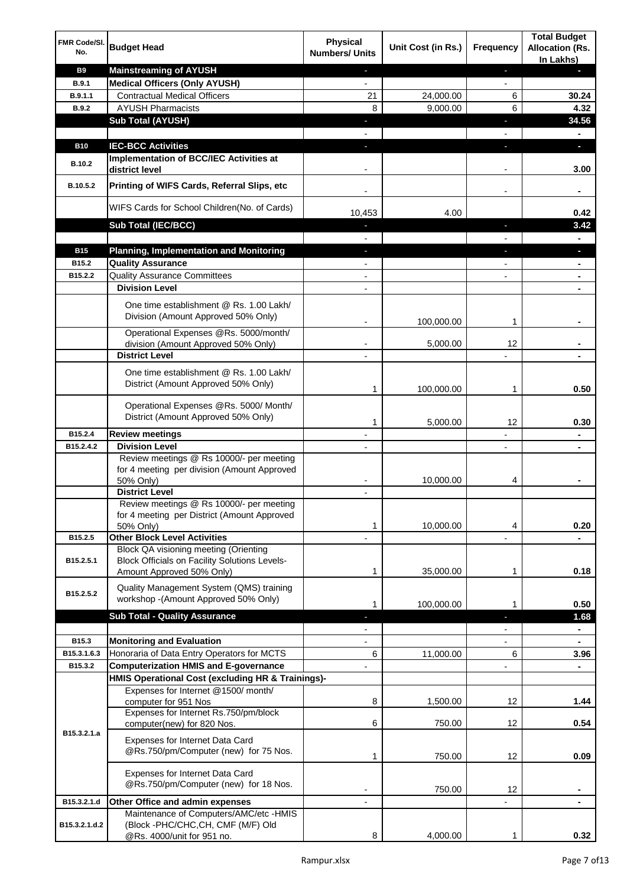| FMR Code/SI.<br>No.   | <b>Budget Head</b>                                                                                         | <b>Physical</b><br><b>Numbers/ Units</b> | Unit Cost (in Rs.) | Frequency                | <b>Total Budget</b><br><b>Allocation (Rs.</b><br>In Lakhs) |
|-----------------------|------------------------------------------------------------------------------------------------------------|------------------------------------------|--------------------|--------------------------|------------------------------------------------------------|
| <b>B9</b>             | <b>Mainstreaming of AYUSH</b>                                                                              | ٠                                        |                    | ٠                        |                                                            |
| B.9.1                 | <b>Medical Officers (Only AYUSH)</b>                                                                       | $\overline{\phantom{a}}$                 |                    | $\overline{\phantom{a}}$ |                                                            |
| B.9.1.1               | <b>Contractual Medical Officers</b>                                                                        | 21                                       | 24,000.00          | 6                        | 30.24                                                      |
| B.9.2                 | <b>AYUSH Pharmacists</b>                                                                                   | 8                                        | 9,000.00           | 6                        | 4.32                                                       |
|                       | <b>Sub Total (AYUSH)</b>                                                                                   | $\blacksquare$                           |                    | п                        | 34.56                                                      |
|                       |                                                                                                            |                                          |                    |                          |                                                            |
| <b>B10</b>            | <b>IEC-BCC Activities</b>                                                                                  | $\blacksquare$                           |                    | T                        | D.                                                         |
|                       | Implementation of BCC/IEC Activities at                                                                    |                                          |                    |                          |                                                            |
| <b>B.10.2</b>         | district level                                                                                             |                                          |                    |                          | 3.00                                                       |
| B.10.5.2              | Printing of WIFS Cards, Referral Slips, etc                                                                |                                          |                    | -                        | $\blacksquare$                                             |
|                       | WIFS Cards for School Children(No. of Cards)                                                               | 10,453                                   | 4.00               |                          | 0.42                                                       |
|                       | Sub Total (IEC/BCC)                                                                                        |                                          |                    |                          | 3.42                                                       |
| <b>B15</b>            | <b>Planning, Implementation and Monitoring</b>                                                             |                                          |                    |                          |                                                            |
| B15.2                 | <b>Quality Assurance</b>                                                                                   |                                          |                    |                          |                                                            |
| B15.2.2               | <b>Quality Assurance Committees</b>                                                                        |                                          |                    |                          |                                                            |
|                       | <b>Division Level</b>                                                                                      |                                          |                    |                          |                                                            |
|                       |                                                                                                            |                                          |                    |                          |                                                            |
|                       | One time establishment @ Rs. 1.00 Lakh/<br>Division (Amount Approved 50% Only)                             |                                          |                    |                          |                                                            |
|                       |                                                                                                            |                                          | 100,000.00         | 1                        |                                                            |
|                       | Operational Expenses @Rs. 5000/month/<br>division (Amount Approved 50% Only)                               |                                          | 5,000.00           | 12                       |                                                            |
|                       | <b>District Level</b>                                                                                      |                                          |                    |                          |                                                            |
|                       |                                                                                                            |                                          |                    |                          |                                                            |
|                       | One time establishment @ Rs. 1.00 Lakh/<br>District (Amount Approved 50% Only)                             | 1                                        | 100,000.00         | 1                        | 0.50                                                       |
|                       |                                                                                                            |                                          |                    |                          |                                                            |
|                       | Operational Expenses @Rs. 5000/ Month/<br>District (Amount Approved 50% Only)                              | 1                                        | 5,000.00           | $12 \overline{ }$        | 0.30                                                       |
| B15.2.4               | <b>Review meetings</b>                                                                                     |                                          |                    |                          |                                                            |
| B15.2.4.2             | <b>Division Level</b>                                                                                      |                                          |                    | ٠                        |                                                            |
|                       | Review meetings @ Rs 10000/- per meeting<br>for 4 meeting per division (Amount Approved                    |                                          |                    |                          |                                                            |
|                       | 50% Only)                                                                                                  |                                          | 10,000.00          | 4                        |                                                            |
|                       | <b>District Level</b>                                                                                      |                                          |                    |                          |                                                            |
|                       | Review meetings @ Rs 10000/- per meeting                                                                   |                                          |                    |                          |                                                            |
|                       | for 4 meeting per District (Amount Approved                                                                |                                          |                    |                          |                                                            |
| B15.2.5               | 50% Only)<br><b>Other Block Level Activities</b>                                                           | 1                                        | 10,000.00          | 4                        | 0.20                                                       |
|                       | Block QA visioning meeting (Orienting                                                                      |                                          |                    |                          |                                                            |
| B15.2.5.1             | Block Officials on Facility Solutions Levels-<br>Amount Approved 50% Only)                                 | 1                                        | 35,000.00          | 1                        | 0.18                                                       |
|                       | Quality Management System (QMS) training                                                                   |                                          |                    |                          |                                                            |
| B <sub>15.2.5.2</sub> | workshop -(Amount Approved 50% Only)                                                                       | 1                                        | 100,000.00         | 1                        | 0.50                                                       |
|                       | <b>Sub Total - Quality Assurance</b>                                                                       |                                          |                    |                          | 1.68                                                       |
|                       |                                                                                                            |                                          |                    | $\overline{a}$           | $\blacksquare$                                             |
| B15.3                 | <b>Monitoring and Evaluation</b>                                                                           |                                          |                    |                          |                                                            |
| B15.3.1.6.3           | Honoraria of Data Entry Operators for MCTS                                                                 | 6                                        | 11,000.00          | 6                        | 3.96                                                       |
| B15.3.2               | <b>Computerization HMIS and E-governance</b>                                                               |                                          |                    | $\overline{a}$           | $\blacksquare$                                             |
|                       | HMIS Operational Cost (excluding HR & Trainings)-                                                          |                                          |                    |                          |                                                            |
|                       | Expenses for Internet @1500/month/<br>computer for 951 Nos                                                 | 8                                        | 1,500.00           | 12                       | 1.44                                                       |
|                       | Expenses for Internet Rs.750/pm/block<br>computer(new) for 820 Nos.                                        | 6                                        | 750.00             | 12                       | 0.54                                                       |
| B15.3.2.1.a           | Expenses for Internet Data Card<br>@Rs.750/pm/Computer (new) for 75 Nos.                                   | 1                                        | 750.00             | 12                       | 0.09                                                       |
|                       | Expenses for Internet Data Card<br>@Rs.750/pm/Computer (new) for 18 Nos.                                   |                                          | 750.00             | 12                       |                                                            |
| B15.3.2.1.d           | Other Office and admin expenses                                                                            |                                          |                    |                          |                                                            |
| B15.3.2.1.d.2         | Maintenance of Computers/AMC/etc -HMIS<br>(Block -PHC/CHC, CH, CMF (M/F) Old<br>@Rs. 4000/unit for 951 no. | 8                                        | 4,000.00           | 1                        | 0.32                                                       |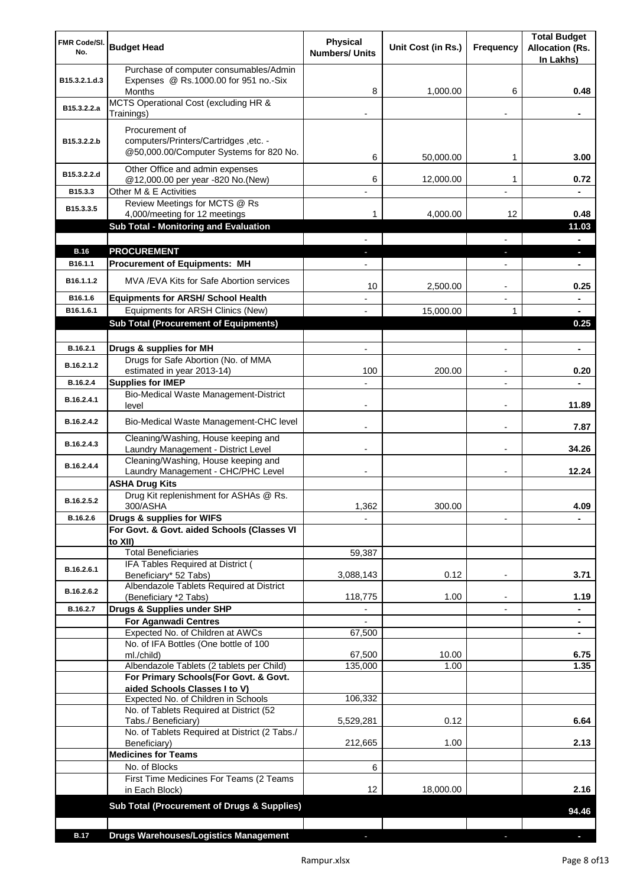| FMR Code/SI.<br>No.   | <b>Budget Head</b>                                                                               | <b>Physical</b><br><b>Numbers/ Units</b> | Unit Cost (in Rs.) | Frequency                | <b>Total Budget</b><br><b>Allocation (Rs.</b><br>In Lakhs) |
|-----------------------|--------------------------------------------------------------------------------------------------|------------------------------------------|--------------------|--------------------------|------------------------------------------------------------|
| B15.3.2.1.d.3         | Purchase of computer consumables/Admin<br>Expenses @ Rs.1000.00 for 951 no.-Six<br><b>Months</b> | 8                                        | 1.000.00           | 6                        | 0.48                                                       |
| B15.3.2.2.a           | MCTS Operational Cost (excluding HR &<br>Trainings)                                              |                                          |                    |                          |                                                            |
|                       | Procurement of                                                                                   |                                          |                    |                          |                                                            |
| B15.3.2.2.b           | computers/Printers/Cartridges, etc. -<br>@50,000.00/Computer Systems for 820 No.                 | 6                                        | 50,000.00          | 1                        | 3.00                                                       |
| B15.3.2.2.d           | Other Office and admin expenses<br>@12,000.00 per year -820 No.(New)                             | 6                                        | 12,000.00          | 1                        | 0.72                                                       |
| B15.3.3               | Other M & E Activities                                                                           |                                          |                    | $\overline{a}$           |                                                            |
| B15.3.3.5             | Review Meetings for MCTS @ Rs<br>4,000/meeting for 12 meetings                                   | 1                                        | 4,000.00           | 12                       | 0.48                                                       |
|                       | <b>Sub Total - Monitoring and Evaluation</b>                                                     |                                          |                    |                          | 11.03                                                      |
| <b>B.16</b>           | <b>PROCUREMENT</b>                                                                               |                                          |                    |                          | н.                                                         |
| B16.1.1               | <b>Procurement of Equipments: MH</b>                                                             |                                          |                    |                          |                                                            |
| B <sub>16.1.1.2</sub> | MVA/EVA Kits for Safe Abortion services                                                          | 10                                       | 2,500.00           | $\overline{a}$           | 0.25                                                       |
| B16.1.6               | <b>Equipments for ARSH/ School Health</b>                                                        |                                          |                    |                          |                                                            |
| B16.1.6.1             | Equipments for ARSH Clinics (New)                                                                |                                          | 15,000.00          | 1                        |                                                            |
|                       | <b>Sub Total (Procurement of Equipments)</b>                                                     |                                          |                    |                          | 0.25                                                       |
| B.16.2.1              | Drugs & supplies for MH                                                                          | $\blacksquare$                           |                    |                          | $\blacksquare$                                             |
| B.16.2.1.2            | Drugs for Safe Abortion (No. of MMA<br>estimated in year 2013-14)                                | 100                                      | 200.00             |                          | 0.20                                                       |
| B.16.2.4              | <b>Supplies for IMEP</b>                                                                         |                                          |                    |                          |                                                            |
| B.16.2.4.1            | Bio-Medical Waste Management-District<br>level                                                   |                                          |                    |                          | 11.89                                                      |
| B.16.2.4.2            | Bio-Medical Waste Management-CHC level                                                           |                                          |                    |                          | 7.87                                                       |
| B.16.2.4.3            | Cleaning/Washing, House keeping and<br>Laundry Management - District Level                       |                                          |                    |                          | 34.26                                                      |
| B.16.2.4.4            | Cleaning/Washing, House keeping and<br>Laundry Management - CHC/PHC Level                        |                                          |                    |                          | 12.24                                                      |
|                       | <b>ASHA Drug Kits</b>                                                                            |                                          |                    |                          |                                                            |
| B.16.2.5.2            | Drug Kit replenishment for ASHAs @ Rs.<br>300/ASHA                                               | 1,362                                    | 300.00             |                          | 4.09                                                       |
| B.16.2.6              | Drugs & supplies for WIFS                                                                        |                                          |                    |                          |                                                            |
|                       | For Govt. & Govt. aided Schools (Classes VI<br>to XII)                                           |                                          |                    |                          |                                                            |
|                       | <b>Total Beneficiaries</b>                                                                       | 59,387                                   |                    |                          |                                                            |
| B.16.2.6.1            | IFA Tables Required at District (                                                                |                                          |                    |                          |                                                            |
|                       | Beneficiary* 52 Tabs)                                                                            | 3,088,143                                | 0.12               |                          | 3.71                                                       |
| B.16.2.6.2            | Albendazole Tablets Required at District<br>(Beneficiary *2 Tabs)                                | 118,775                                  | 1.00               | $\overline{\phantom{a}}$ | 1.19                                                       |
| B.16.2.7              | Drugs & Supplies under SHP                                                                       |                                          |                    | $\overline{\phantom{0}}$ | ٠                                                          |
|                       | <b>For Aganwadi Centres</b>                                                                      |                                          |                    |                          | ٠                                                          |
|                       | Expected No. of Children at AWCs                                                                 | 67,500                                   |                    |                          | ۰                                                          |
|                       | No. of IFA Bottles (One bottle of 100<br>ml./child)                                              | 67,500                                   | 10.00              |                          | 6.75                                                       |
|                       | Albendazole Tablets (2 tablets per Child)                                                        | 135,000                                  | 1.00               |                          | 1.35                                                       |
|                       | For Primary Schools(For Govt. & Govt.<br>aided Schools Classes I to V)                           |                                          |                    |                          |                                                            |
|                       | Expected No. of Children in Schools                                                              | 106,332                                  |                    |                          |                                                            |
|                       | No. of Tablets Required at District (52<br>Tabs./ Beneficiary)                                   | 5,529,281                                | 0.12               |                          | 6.64                                                       |
|                       | No. of Tablets Required at District (2 Tabs./<br>Beneficiary)                                    | 212,665                                  | 1.00               |                          | 2.13                                                       |
|                       | <b>Medicines for Teams</b>                                                                       |                                          |                    |                          |                                                            |
|                       | No. of Blocks                                                                                    | 6                                        |                    |                          |                                                            |
|                       | First Time Medicines For Teams (2 Teams<br>in Each Block)                                        | 12                                       | 18,000.00          |                          | 2.16                                                       |
|                       | <b>Sub Total (Procurement of Drugs &amp; Supplies)</b>                                           |                                          |                    |                          | 94.46                                                      |
|                       |                                                                                                  |                                          |                    |                          |                                                            |
| <b>B.17</b>           | <b>Drugs Warehouses/Logistics Management</b>                                                     |                                          |                    |                          |                                                            |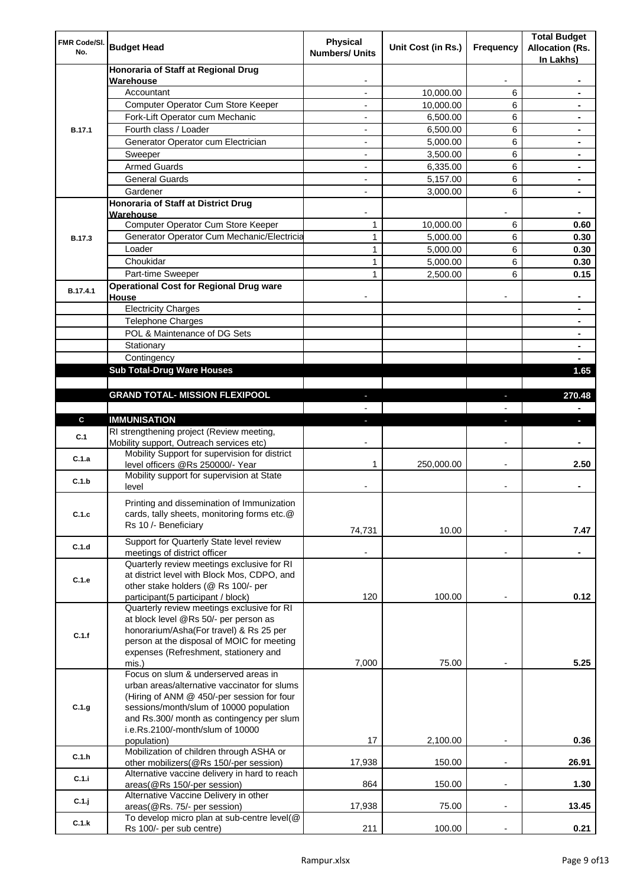| FMR Code/SI.<br>No. | <b>Budget Head</b>                                                                                                                                                                                                                    | Physical<br><b>Numbers/ Units</b> | Unit Cost (in Rs.) | Frequency                | <b>Total Budget</b><br><b>Allocation (Rs.</b><br>In Lakhs) |
|---------------------|---------------------------------------------------------------------------------------------------------------------------------------------------------------------------------------------------------------------------------------|-----------------------------------|--------------------|--------------------------|------------------------------------------------------------|
|                     | Honoraria of Staff at Regional Drug                                                                                                                                                                                                   |                                   |                    |                          |                                                            |
|                     | Warehouse<br>Accountant                                                                                                                                                                                                               |                                   | 10,000.00          | 6                        |                                                            |
|                     | Computer Operator Cum Store Keeper                                                                                                                                                                                                    |                                   | 10,000.00          | 6                        |                                                            |
| <b>B.17.1</b>       | Fork-Lift Operator cum Mechanic                                                                                                                                                                                                       |                                   | 6,500.00           | 6                        |                                                            |
|                     | Fourth class / Loader                                                                                                                                                                                                                 | $\overline{\phantom{0}}$          | 6,500.00           | 6                        |                                                            |
|                     | Generator Operator cum Electrician                                                                                                                                                                                                    |                                   | 5,000.00           | 6                        |                                                            |
|                     | Sweeper                                                                                                                                                                                                                               |                                   | 3,500.00           | 6                        |                                                            |
|                     | <b>Armed Guards</b>                                                                                                                                                                                                                   | ٠                                 | 6,335.00           | 6                        |                                                            |
|                     | <b>General Guards</b>                                                                                                                                                                                                                 | ٠                                 | 5,157.00           | 6                        | $\blacksquare$                                             |
|                     | Gardener                                                                                                                                                                                                                              | $\overline{\phantom{0}}$          | 3,000.00           | 6                        | $\blacksquare$                                             |
|                     | Honoraria of Staff at District Drug<br>Warehouse                                                                                                                                                                                      |                                   |                    |                          |                                                            |
|                     | Computer Operator Cum Store Keeper                                                                                                                                                                                                    | 1                                 | 10,000.00          | 6                        | 0.60                                                       |
| <b>B.17.3</b>       | Generator Operator Cum Mechanic/Electricia                                                                                                                                                                                            | 1                                 | 5,000.00           | 6                        | 0.30                                                       |
|                     | Loader                                                                                                                                                                                                                                | 1                                 | 5,000.00           | 6                        | 0.30                                                       |
|                     | Choukidar                                                                                                                                                                                                                             | 1                                 | 5,000.00           | 6                        | 0.30                                                       |
|                     | Part-time Sweeper                                                                                                                                                                                                                     | $\mathbf{1}$                      | 2,500.00           | 6                        | 0.15                                                       |
| B.17.4.1            | <b>Operational Cost for Regional Drug ware</b><br>House                                                                                                                                                                               |                                   |                    |                          |                                                            |
|                     | <b>Electricity Charges</b>                                                                                                                                                                                                            |                                   |                    |                          |                                                            |
|                     | <b>Telephone Charges</b>                                                                                                                                                                                                              |                                   |                    |                          |                                                            |
|                     | POL & Maintenance of DG Sets                                                                                                                                                                                                          |                                   |                    |                          |                                                            |
|                     | Stationary                                                                                                                                                                                                                            |                                   |                    |                          | $\blacksquare$                                             |
|                     | Contingency                                                                                                                                                                                                                           |                                   |                    |                          |                                                            |
|                     | <b>Sub Total-Drug Ware Houses</b>                                                                                                                                                                                                     |                                   |                    |                          | 1.65                                                       |
|                     |                                                                                                                                                                                                                                       |                                   |                    |                          |                                                            |
|                     | <b>GRAND TOTAL- MISSION FLEXIPOOL</b>                                                                                                                                                                                                 |                                   |                    |                          | 270.48                                                     |
|                     |                                                                                                                                                                                                                                       |                                   |                    |                          |                                                            |
| $\mathbf{c}$        | <b>IMMUNISATION</b>                                                                                                                                                                                                                   |                                   |                    |                          |                                                            |
| C.1                 | RI strengthening project (Review meeting,<br>Mobility support, Outreach services etc)                                                                                                                                                 |                                   |                    |                          |                                                            |
| C.1.a               | Mobility Support for supervision for district<br>level officers @Rs 250000/- Year                                                                                                                                                     | 1                                 | 250,000.00         |                          | 2.50                                                       |
| C.1.b               | Mobility support for supervision at State<br>level                                                                                                                                                                                    |                                   |                    |                          |                                                            |
| C.1.c               | Printing and dissemination of Immunization<br>cards, tally sheets, monitoring forms etc.@<br>Rs 10 /- Beneficiary                                                                                                                     | 74,731                            | 10.00              |                          | 7.47                                                       |
| C.1.d               | Support for Quarterly State level review<br>meetings of district officer                                                                                                                                                              |                                   |                    |                          |                                                            |
| C.1.e               | Quarterly review meetings exclusive for RI<br>at district level with Block Mos, CDPO, and<br>other stake holders (@ Rs 100/- per                                                                                                      |                                   | 100.00             |                          | 0.12                                                       |
|                     | participant(5 participant / block)<br>Quarterly review meetings exclusive for RI                                                                                                                                                      | 120                               |                    |                          |                                                            |
| C.1.f               | at block level @Rs 50/- per person as<br>honorarium/Asha(For travel) & Rs 25 per<br>person at the disposal of MOIC for meeting<br>expenses (Refreshment, stationery and                                                               |                                   |                    |                          |                                                            |
|                     | mis.)<br>Focus on slum & underserved areas in                                                                                                                                                                                         | 7,000                             | 75.00              |                          | 5.25                                                       |
| C.1.g               | urban areas/alternative vaccinator for slums<br>(Hiring of ANM @ 450/-per session for four<br>sessions/month/slum of 10000 population<br>and Rs.300/ month as contingency per slum<br>i.e.Rs.2100/-month/slum of 10000<br>population) | 17                                | 2,100.00           | $\overline{\phantom{a}}$ | 0.36                                                       |
|                     | Mobilization of children through ASHA or                                                                                                                                                                                              |                                   |                    |                          |                                                            |
| C.1.h               | other mobilizers(@Rs 150/-per session)<br>Alternative vaccine delivery in hard to reach                                                                                                                                               | 17,938                            | 150.00             |                          | 26.91                                                      |
| C.1.i               | areas(@Rs 150/-per session)<br>Alternative Vaccine Delivery in other                                                                                                                                                                  | 864                               | 150.00             | $\overline{\phantom{a}}$ | 1.30                                                       |
| C.1.j               | areas(@Rs. 75/- per session)<br>To develop micro plan at sub-centre level(@                                                                                                                                                           | 17,938                            | 75.00              |                          | 13.45                                                      |
| C.1.k               | Rs 100/- per sub centre)                                                                                                                                                                                                              | 211                               | 100.00             |                          | 0.21                                                       |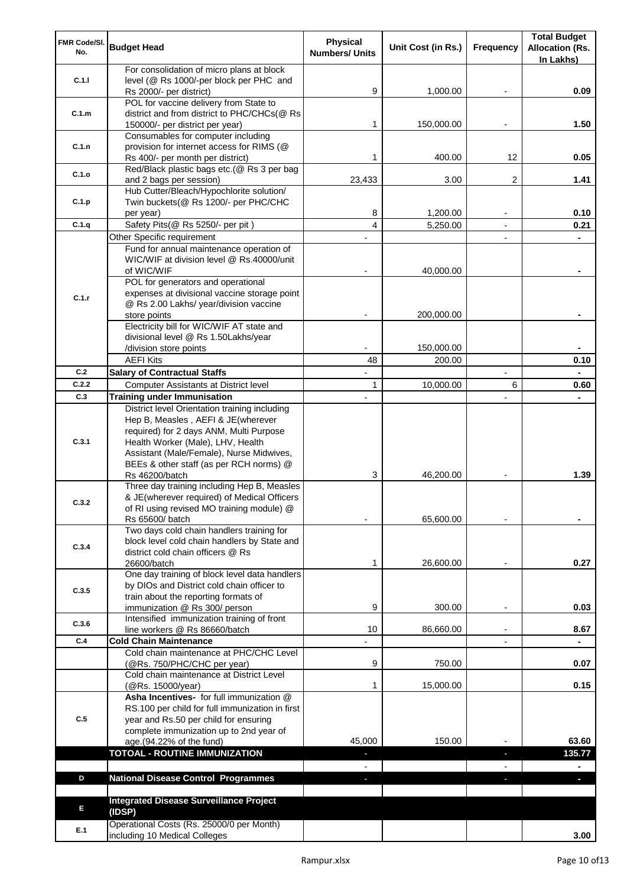| FMR Code/SI.<br>No.                                                               | <b>Budget Head</b>                                                                        | <b>Physical</b><br><b>Numbers/ Units</b> | Unit Cost (in Rs.) | Frequency                | <b>Total Budget</b><br><b>Allocation (Rs.</b> |
|-----------------------------------------------------------------------------------|-------------------------------------------------------------------------------------------|------------------------------------------|--------------------|--------------------------|-----------------------------------------------|
|                                                                                   | For consolidation of micro plans at block                                                 |                                          |                    |                          | In Lakhs)                                     |
|                                                                                   | level (@ Rs 1000/-per block per PHC and                                                   |                                          |                    |                          |                                               |
|                                                                                   | Rs 2000/- per district)                                                                   | 9                                        | 1,000.00           | $\overline{\phantom{a}}$ | 0.09                                          |
|                                                                                   | POL for vaccine delivery from State to                                                    |                                          |                    |                          |                                               |
| C.1.m                                                                             | district and from district to PHC/CHCs(@ Rs                                               |                                          |                    |                          |                                               |
|                                                                                   | 150000/- per district per year)                                                           | 1                                        | 150,000.00         |                          | 1.50                                          |
|                                                                                   | Consumables for computer including                                                        |                                          |                    |                          |                                               |
|                                                                                   | provision for internet access for RIMS (@<br>Rs 400/- per month per district)             | 1                                        | 400.00             | 12                       | 0.05                                          |
|                                                                                   | Red/Black plastic bags etc.(@ Rs 3 per bag                                                |                                          |                    |                          |                                               |
| C.1.o                                                                             | and 2 bags per session)                                                                   | 23,433                                   | 3.00               | $\overline{2}$           | 1.41                                          |
|                                                                                   | Hub Cutter/Bleach/Hypochlorite solution/                                                  |                                          |                    |                          |                                               |
| C.1.p                                                                             | Twin buckets(@ Rs 1200/- per PHC/CHC                                                      |                                          |                    |                          |                                               |
|                                                                                   | per year)                                                                                 | 8                                        | 1,200.00           |                          | 0.10                                          |
| C.1.q                                                                             | Safety Pits(@ Rs 5250/- per pit)                                                          | 4                                        | 5,250.00           | $\blacksquare$           | 0.21                                          |
|                                                                                   | Other Specific requirement                                                                |                                          |                    |                          |                                               |
|                                                                                   | Fund for annual maintenance operation of                                                  |                                          |                    |                          |                                               |
|                                                                                   | WIC/WIF at division level @ Rs.40000/unit                                                 |                                          |                    |                          |                                               |
|                                                                                   | of WIC/WIF                                                                                |                                          | 40,000.00          |                          |                                               |
|                                                                                   | POL for generators and operational<br>expenses at divisional vaccine storage point        |                                          |                    |                          |                                               |
| C.1.r                                                                             | @ Rs 2.00 Lakhs/ year/division vaccine                                                    |                                          |                    |                          |                                               |
|                                                                                   | store points                                                                              |                                          | 200,000.00         |                          |                                               |
|                                                                                   | Electricity bill for WIC/WIF AT state and                                                 |                                          |                    |                          |                                               |
|                                                                                   | divisional level @ Rs 1.50Lakhs/year                                                      |                                          |                    |                          |                                               |
|                                                                                   | /division store points                                                                    |                                          | 150,000.00         |                          |                                               |
|                                                                                   | <b>AEFI Kits</b>                                                                          | 48                                       | 200.00             |                          | 0.10                                          |
| C.2                                                                               | <b>Salary of Contractual Staffs</b>                                                       |                                          |                    |                          |                                               |
| C.2.2                                                                             | Computer Assistants at District level                                                     | 1                                        | 10,000.00          | 6                        | 0.60                                          |
| C.3                                                                               | <b>Training under Immunisation</b>                                                        |                                          |                    |                          |                                               |
|                                                                                   | District level Orientation training including                                             |                                          |                    |                          |                                               |
|                                                                                   | Hep B, Measles, AEFI & JE(wherever                                                        |                                          |                    |                          |                                               |
|                                                                                   | required) for 2 days ANM, Multi Purpose                                                   |                                          |                    |                          |                                               |
|                                                                                   | Health Worker (Male), LHV, Health<br>Assistant (Male/Female), Nurse Midwives,             |                                          |                    |                          |                                               |
|                                                                                   | BEEs & other staff (as per RCH norms) @                                                   |                                          |                    |                          |                                               |
|                                                                                   | Rs 46200/batch                                                                            | 3                                        | 46,200.00          |                          | 1.39                                          |
|                                                                                   | Three day training including Hep B, Measles                                               |                                          |                    |                          |                                               |
|                                                                                   | & JE(wherever required) of Medical Officers                                               |                                          |                    |                          |                                               |
|                                                                                   | of RI using revised MO training module) @                                                 |                                          |                    |                          |                                               |
|                                                                                   | Rs 65600/ batch                                                                           |                                          | 65,600.00          |                          |                                               |
|                                                                                   | Two days cold chain handlers training for<br>block level cold chain handlers by State and |                                          |                    |                          |                                               |
| C.3.4                                                                             | district cold chain officers @ Rs                                                         |                                          |                    |                          |                                               |
|                                                                                   | 26600/batch                                                                               | 1                                        | 26,600.00          |                          | 0.27                                          |
|                                                                                   | One day training of block level data handlers                                             |                                          |                    |                          |                                               |
|                                                                                   | by DIOs and District cold chain officer to                                                |                                          |                    |                          |                                               |
|                                                                                   | train about the reporting formats of                                                      |                                          |                    |                          |                                               |
| C.1.1<br>C.1.n<br>C.3.1<br>C.3.2<br>C.3.5<br>C.3.6<br>C.4<br>C.5<br>D<br>E<br>E.1 | immunization @ Rs 300/ person                                                             | 9                                        | 300.00             |                          | 0.03                                          |
|                                                                                   | Intensified immunization training of front                                                |                                          |                    |                          |                                               |
|                                                                                   | line workers @ Rs 86660/batch<br><b>Cold Chain Maintenance</b>                            | 10                                       | 86,660.00          |                          | 8.67                                          |
|                                                                                   | Cold chain maintenance at PHC/CHC Level                                                   |                                          |                    |                          |                                               |
|                                                                                   | (@Rs. 750/PHC/CHC per year)                                                               | 9                                        | 750.00             |                          | 0.07                                          |
|                                                                                   | Cold chain maintenance at District Level                                                  |                                          |                    |                          |                                               |
|                                                                                   | (@Rs. 15000/year)                                                                         | 1                                        | 15,000.00          |                          | 0.15                                          |
|                                                                                   | Asha Incentives- for full immunization @                                                  |                                          |                    |                          |                                               |
|                                                                                   | RS.100 per child for full immunization in first                                           |                                          |                    |                          |                                               |
|                                                                                   | year and Rs.50 per child for ensuring                                                     |                                          |                    |                          |                                               |
|                                                                                   | complete immunization up to 2nd year of<br>age.(94.22% of the fund)                       | 45,000                                   | 150.00             |                          | 63.60                                         |
|                                                                                   | <b>TOTOAL - ROUTINE IMMUNIZATION</b>                                                      |                                          |                    | J,                       | 135.77                                        |
|                                                                                   |                                                                                           |                                          |                    |                          |                                               |
|                                                                                   | <b>National Disease Control Programmes</b>                                                | ٠                                        |                    |                          | ٠                                             |
|                                                                                   |                                                                                           |                                          |                    |                          |                                               |
|                                                                                   | <b>Integrated Disease Surveillance Project</b>                                            |                                          |                    |                          |                                               |
|                                                                                   | (IDSP)                                                                                    |                                          |                    |                          |                                               |
|                                                                                   | Operational Costs (Rs. 25000/0 per Month)                                                 |                                          |                    |                          |                                               |
|                                                                                   | including 10 Medical Colleges                                                             |                                          |                    |                          | 3.00                                          |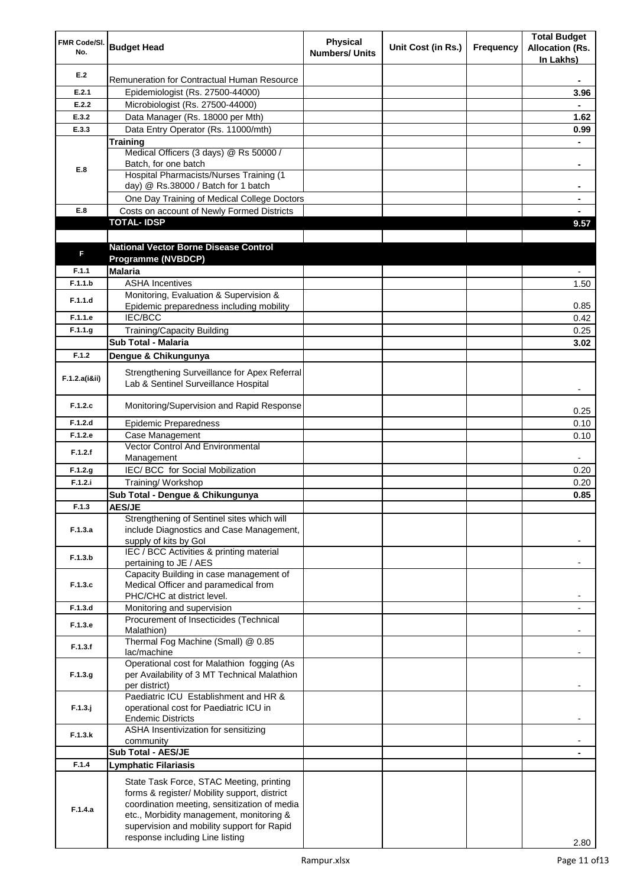| FMR Code/SI.<br>No. | <b>Budget Head</b>                                                                                                                                                                                                                                                    | <b>Physical</b><br><b>Numbers/ Units</b> | Unit Cost (in Rs.) | Frequency | <b>Total Budget</b><br><b>Allocation (Rs.</b><br>In Lakhs) |
|---------------------|-----------------------------------------------------------------------------------------------------------------------------------------------------------------------------------------------------------------------------------------------------------------------|------------------------------------------|--------------------|-----------|------------------------------------------------------------|
| E.2                 | Remuneration for Contractual Human Resource                                                                                                                                                                                                                           |                                          |                    |           |                                                            |
| E.2.1               | Epidemiologist (Rs. 27500-44000)                                                                                                                                                                                                                                      |                                          |                    |           | 3.96                                                       |
| E.2.2               | Microbiologist (Rs. 27500-44000)                                                                                                                                                                                                                                      |                                          |                    |           |                                                            |
| E.3.2               | Data Manager (Rs. 18000 per Mth)                                                                                                                                                                                                                                      |                                          |                    |           | 1.62                                                       |
| E.3.3               | Data Entry Operator (Rs. 11000/mth)                                                                                                                                                                                                                                   |                                          |                    |           | 0.99                                                       |
|                     | Training                                                                                                                                                                                                                                                              |                                          |                    |           |                                                            |
|                     | Medical Officers (3 days) @ Rs 50000 /                                                                                                                                                                                                                                |                                          |                    |           |                                                            |
| E.8                 | Batch, for one batch                                                                                                                                                                                                                                                  |                                          |                    |           | $\blacksquare$                                             |
|                     | Hospital Pharmacists/Nurses Training (1                                                                                                                                                                                                                               |                                          |                    |           |                                                            |
|                     | day) @ Rs.38000 / Batch for 1 batch<br>One Day Training of Medical College Doctors                                                                                                                                                                                    |                                          |                    |           |                                                            |
| E.8                 | Costs on account of Newly Formed Districts                                                                                                                                                                                                                            |                                          |                    |           |                                                            |
|                     | <b>TOTAL-IDSP</b>                                                                                                                                                                                                                                                     |                                          |                    |           | 9.57                                                       |
|                     |                                                                                                                                                                                                                                                                       |                                          |                    |           |                                                            |
|                     | <b>National Vector Borne Disease Control</b>                                                                                                                                                                                                                          |                                          |                    |           |                                                            |
| F                   | Programme (NVBDCP)                                                                                                                                                                                                                                                    |                                          |                    |           |                                                            |
| F.1.1               | <b>Malaria</b>                                                                                                                                                                                                                                                        |                                          |                    |           |                                                            |
| F.1.1.b             | <b>ASHA Incentives</b>                                                                                                                                                                                                                                                |                                          |                    |           | 1.50                                                       |
|                     | Monitoring, Evaluation & Supervision &                                                                                                                                                                                                                                |                                          |                    |           |                                                            |
| F.1.1.d             | Epidemic preparedness including mobility                                                                                                                                                                                                                              |                                          |                    |           | 0.85                                                       |
| F.1.1.e             | IEC/BCC                                                                                                                                                                                                                                                               |                                          |                    |           | 0.42                                                       |
| F.1.1.g             | <b>Training/Capacity Building</b>                                                                                                                                                                                                                                     |                                          |                    |           | 0.25                                                       |
|                     | Sub Total - Malaria                                                                                                                                                                                                                                                   |                                          |                    |           | 3.02                                                       |
| F.1.2               | Dengue & Chikungunya                                                                                                                                                                                                                                                  |                                          |                    |           |                                                            |
| F.1.2.a(iⅈ)         | Strengthening Surveillance for Apex Referral<br>Lab & Sentinel Surveillance Hospital                                                                                                                                                                                  |                                          |                    |           |                                                            |
| F.1.2.c             | Monitoring/Supervision and Rapid Response                                                                                                                                                                                                                             |                                          |                    |           | 0.25                                                       |
| F.1.2.d             | <b>Epidemic Preparedness</b>                                                                                                                                                                                                                                          |                                          |                    |           | 0.10                                                       |
| F.1.2.e             | Case Management                                                                                                                                                                                                                                                       |                                          |                    |           | 0.10                                                       |
| F.1.2.f             | Vector Control And Environmental                                                                                                                                                                                                                                      |                                          |                    |           |                                                            |
|                     | Management                                                                                                                                                                                                                                                            |                                          |                    |           |                                                            |
| F.1.2.g             | IEC/ BCC for Social Mobilization                                                                                                                                                                                                                                      |                                          |                    |           | 0.20                                                       |
| F.1.2.i             | Training/ Workshop                                                                                                                                                                                                                                                    |                                          |                    |           | 0.20                                                       |
|                     | Sub Total - Dengue & Chikungunya                                                                                                                                                                                                                                      |                                          |                    |           | 0.85                                                       |
| F.1.3               | <b>AES/JE</b>                                                                                                                                                                                                                                                         |                                          |                    |           |                                                            |
| F.1.3.a             | Strengthening of Sentinel sites which will<br>include Diagnostics and Case Management,<br>supply of kits by Gol                                                                                                                                                       |                                          |                    |           |                                                            |
| F.1.3.b             | IEC / BCC Activities & printing material<br>pertaining to JE / AES                                                                                                                                                                                                    |                                          |                    |           |                                                            |
| F.1.3.c             | Capacity Building in case management of<br>Medical Officer and paramedical from                                                                                                                                                                                       |                                          |                    |           |                                                            |
| F.1.3.d             | PHC/CHC at district level.<br>Monitoring and supervision                                                                                                                                                                                                              |                                          |                    |           | $\overline{a}$                                             |
|                     | Procurement of Insecticides (Technical                                                                                                                                                                                                                                |                                          |                    |           |                                                            |
| F.1.3.e             | Malathion)<br>Thermal Fog Machine (Small) @ 0.85                                                                                                                                                                                                                      |                                          |                    |           |                                                            |
| F.1.3.f             | lac/machine                                                                                                                                                                                                                                                           |                                          |                    |           |                                                            |
| F.1.3.g             | Operational cost for Malathion fogging (As<br>per Availability of 3 MT Technical Malathion<br>per district)                                                                                                                                                           |                                          |                    |           |                                                            |
| $F.1.3.$ j          | Paediatric ICU Establishment and HR &<br>operational cost for Paediatric ICU in<br><b>Endemic Districts</b>                                                                                                                                                           |                                          |                    |           |                                                            |
| F.1.3.k             | ASHA Insentivization for sensitizing<br>community                                                                                                                                                                                                                     |                                          |                    |           |                                                            |
|                     | <b>Sub Total - AES/JE</b>                                                                                                                                                                                                                                             |                                          |                    |           |                                                            |
| F.1.4               | <b>Lymphatic Filariasis</b>                                                                                                                                                                                                                                           |                                          |                    |           |                                                            |
| F.1.4.a             | State Task Force, STAC Meeting, printing<br>forms & register/ Mobility support, district<br>coordination meeting, sensitization of media<br>etc., Morbidity management, monitoring &<br>supervision and mobility support for Rapid<br>response including Line listing |                                          |                    |           | 2.80                                                       |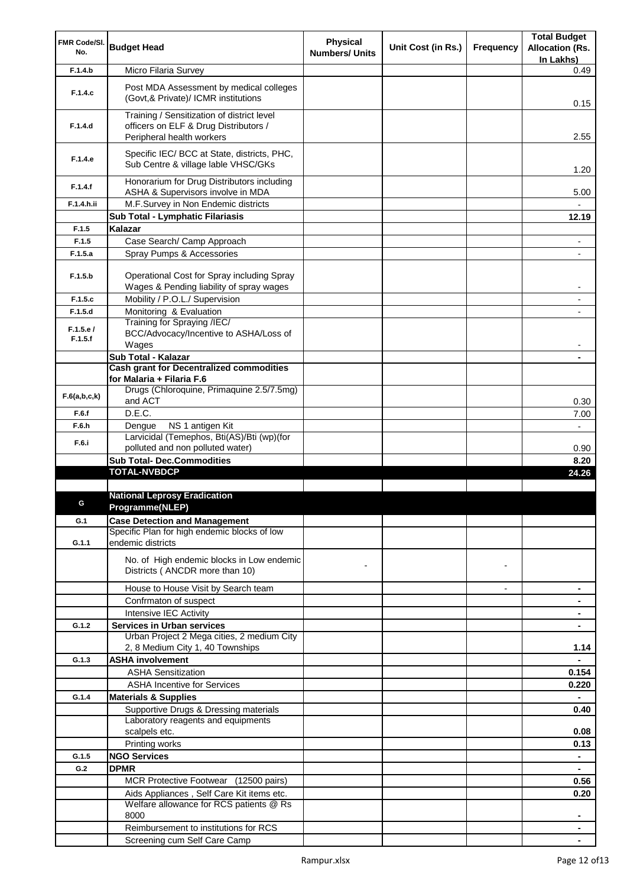| FMR Code/SI.        |                                                                                        | Physical              |                    |                | <b>Total Budget</b>                 |
|---------------------|----------------------------------------------------------------------------------------|-----------------------|--------------------|----------------|-------------------------------------|
| No.                 | <b>Budget Head</b>                                                                     | <b>Numbers/ Units</b> | Unit Cost (in Rs.) | Frequency      | <b>Allocation (Rs.</b><br>In Lakhs) |
| F.1.4.b             | Micro Filaria Survey                                                                   |                       |                    |                | 0.49                                |
|                     |                                                                                        |                       |                    |                |                                     |
| F.1.4.c             | Post MDA Assessment by medical colleges<br>(Govt, & Private)/ ICMR institutions        |                       |                    |                | 0.15                                |
| F.1.4.d             | Training / Sensitization of district level<br>officers on ELF & Drug Distributors /    |                       |                    |                |                                     |
|                     | Peripheral health workers                                                              |                       |                    |                | 2.55                                |
|                     | Specific IEC/ BCC at State, districts, PHC,                                            |                       |                    |                |                                     |
| F.1.4.e             | Sub Centre & village lable VHSC/GKs                                                    |                       |                    |                | 1.20                                |
| F.1.4.f             | Honorarium for Drug Distributors including                                             |                       |                    |                |                                     |
| F.1.4.h.ii          | ASHA & Supervisors involve in MDA<br>M.F.Survey in Non Endemic districts               |                       |                    |                | 5.00                                |
|                     | Sub Total - Lymphatic Filariasis                                                       |                       |                    |                | 12.19                               |
| F.1.5               | Kalazar                                                                                |                       |                    |                |                                     |
| F.1.5               | Case Search/ Camp Approach                                                             |                       |                    |                |                                     |
| F.1.5.a             |                                                                                        |                       |                    |                | ۰                                   |
|                     | Spray Pumps & Accessories                                                              |                       |                    |                |                                     |
| F.1.5.b             | Operational Cost for Spray including Spray<br>Wages & Pending liability of spray wages |                       |                    |                | -                                   |
| F.1.5.c             | Mobility / P.O.L./ Supervision                                                         |                       |                    |                | ٠                                   |
| F.1.5.d             | Monitoring & Evaluation                                                                |                       |                    |                |                                     |
|                     | Training for Spraying /IEC/                                                            |                       |                    |                |                                     |
| F.1.5.e/<br>F.1.5.f | BCC/Advocacy/Incentive to ASHA/Loss of<br>Wages                                        |                       |                    |                |                                     |
|                     | Sub Total - Kalazar                                                                    |                       |                    |                |                                     |
|                     | <b>Cash grant for Decentralized commodities</b>                                        |                       |                    |                |                                     |
|                     | for Malaria + Filaria F.6                                                              |                       |                    |                |                                     |
| F.6(a,b,c,k)        | Drugs (Chloroquine, Primaquine 2.5/7.5mg)<br>and ACT                                   |                       |                    |                | 0.30                                |
| F.6.f               | D.E.C.                                                                                 |                       |                    |                | 7.00                                |
| F.6.h               | NS 1 antigen Kit<br>Dengue                                                             |                       |                    |                | $\overline{\phantom{0}}$            |
| F.6.i               | Larvicidal (Temephos, Bti(AS)/Bti (wp)(for                                             |                       |                    |                |                                     |
|                     | polluted and non polluted water)                                                       |                       |                    |                | 0.90                                |
|                     | <b>Sub Total- Dec.Commodities</b><br><b>TOTAL-NVBDCP</b>                               |                       |                    |                | 8.20                                |
|                     |                                                                                        |                       |                    |                | 24.26                               |
|                     | <b>National Leprosy Eradication</b>                                                    |                       |                    |                |                                     |
|                     | Programme(NLEP)                                                                        |                       |                    |                |                                     |
| G.1                 | <b>Case Detection and Management</b>                                                   |                       |                    |                |                                     |
|                     | Specific Plan for high endemic blocks of low                                           |                       |                    |                |                                     |
| G.1.1               | endemic districts                                                                      |                       |                    |                |                                     |
|                     | No. of High endemic blocks in Low endemic                                              |                       |                    |                |                                     |
|                     | Districts (ANCDR more than 10)                                                         |                       |                    | $\blacksquare$ |                                     |
|                     | House to House Visit by Search team                                                    |                       |                    | $\overline{a}$ | ٠                                   |
|                     | Confrmaton of suspect                                                                  |                       |                    |                |                                     |
|                     | Intensive IEC Activity                                                                 |                       |                    |                |                                     |
| G.1.2               | <b>Services in Urban services</b>                                                      |                       |                    |                |                                     |
|                     | Urban Project 2 Mega cities, 2 medium City                                             |                       |                    |                |                                     |
|                     | 2, 8 Medium City 1, 40 Townships                                                       |                       |                    |                | 1.14                                |
| G.1.3               | <b>ASHA involvement</b>                                                                |                       |                    |                | $\blacksquare$                      |
|                     | <b>ASHA Sensitization</b>                                                              |                       |                    |                | 0.154                               |
|                     | <b>ASHA Incentive for Services</b>                                                     |                       |                    |                | 0.220                               |
| G.1.4               | <b>Materials &amp; Supplies</b>                                                        |                       |                    |                | $\blacksquare$                      |
|                     | Supportive Drugs & Dressing materials                                                  |                       |                    |                | 0.40                                |
|                     | Laboratory reagents and equipments                                                     |                       |                    |                |                                     |
|                     | scalpels etc.                                                                          |                       |                    |                | 0.08                                |
|                     | Printing works                                                                         |                       |                    |                | 0.13                                |
| G.1.5               | <b>NGO Services</b>                                                                    |                       |                    |                | $\blacksquare$                      |
| G.2                 | <b>DPMR</b>                                                                            |                       |                    |                |                                     |
|                     | MCR Protective Footwear (12500 pairs)                                                  |                       |                    |                | 0.56                                |
|                     | Aids Appliances, Self Care Kit items etc.                                              |                       |                    |                | 0.20                                |
|                     | Welfare allowance for RCS patients @ Rs<br>8000                                        |                       |                    |                |                                     |
|                     | Reimbursement to institutions for RCS                                                  |                       |                    |                | ۰                                   |
|                     | Screening cum Self Care Camp                                                           |                       |                    |                |                                     |
|                     |                                                                                        |                       |                    |                |                                     |